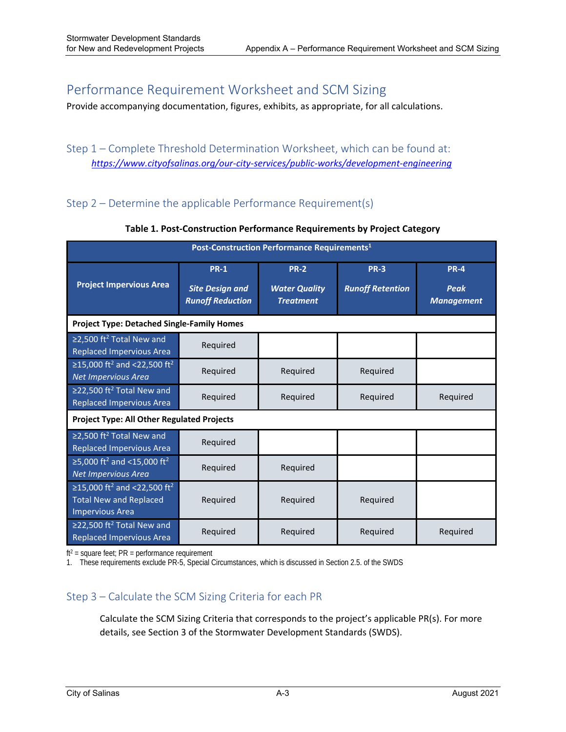# Performance Requirement Worksheet and SCM Sizing

Provide accompanying documentation, figures, exhibits, as appropriate, for all calculations.

## Step 1 – Complete Threshold Determination Worksheet, which can be found at: *https://www.cityofsalinas.org/our‐city‐services/public‐works/development‐engineering*

## Step 2 – Determine the applicable Performance Requirement(s)

| Post-Construction Performance Requirements <sup>1</sup>                                                        |                                                                  |                                                         |                                        |                                          |
|----------------------------------------------------------------------------------------------------------------|------------------------------------------------------------------|---------------------------------------------------------|----------------------------------------|------------------------------------------|
| <b>Project Impervious Area</b>                                                                                 | <b>PR-1</b><br><b>Site Design and</b><br><b>Runoff Reduction</b> | <b>PR-2</b><br><b>Water Quality</b><br><b>Treatment</b> | <b>PR-3</b><br><b>Runoff Retention</b> | <b>PR-4</b><br>Peak<br><b>Management</b> |
| <b>Project Type: Detached Single-Family Homes</b>                                                              |                                                                  |                                                         |                                        |                                          |
| $\geq$ 2,500 ft <sup>2</sup> Total New and<br>Replaced Impervious Area                                         | Required                                                         |                                                         |                                        |                                          |
| ≥15,000 ft <sup>2</sup> and <22,500 ft <sup>2</sup><br>Net Impervious Area                                     | Required                                                         | Required                                                | Required                               |                                          |
| $\geq$ 22,500 ft <sup>2</sup> Total New and<br><b>Replaced Impervious Area</b>                                 | Required                                                         | Required                                                | Required                               | Required                                 |
| <b>Project Type: All Other Regulated Projects</b>                                                              |                                                                  |                                                         |                                        |                                          |
| $\geq$ 2,500 ft <sup>2</sup> Total New and<br><b>Replaced Impervious Area</b>                                  | Required                                                         |                                                         |                                        |                                          |
| ≥5,000 ft <sup>2</sup> and <15,000 ft <sup>2</sup><br>Net Impervious Area                                      | Required                                                         | Required                                                |                                        |                                          |
| ≥15,000 ft <sup>2</sup> and <22,500 ft <sup>2</sup><br><b>Total New and Replaced</b><br><b>Impervious Area</b> | Required                                                         | Required                                                | Required                               |                                          |
| ≥22,500 ft <sup>2</sup> Total New and<br><b>Replaced Impervious Area</b>                                       | Required                                                         | Required                                                | Required                               | Required                                 |

**Table 1. Post‐Construction Performance Requirements by Project Category** 

 $ft<sup>2</sup> = square feet; PR = performance requirement$ 

1. These requirements exclude PR-5, Special Circumstances, which is discussed in Section 2.5. of the SWDS

## Step 3 – Calculate the SCM Sizing Criteria for each PR

Calculate the SCM Sizing Criteria that corresponds to the project's applicable PR(s). For more details, see Section 3 of the Stormwater Development Standards (SWDS).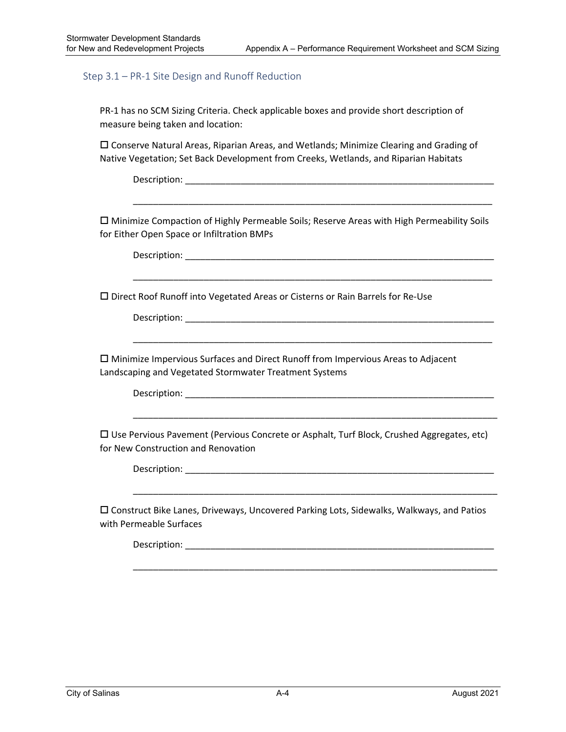#### Step 3.1 – PR‐1 Site Design and Runoff Reduction

PR-1 has no SCM Sizing Criteria. Check applicable boxes and provide short description of measure being taken and location:

 Conserve Natural Areas, Riparian Areas, and Wetlands; Minimize Clearing and Grading of Native Vegetation; Set Back Development from Creeks, Wetlands, and Riparian Habitats

Description: where the control of the control of the control of the control of the control of the control of the control of the control of the control of the control of the control of the control of the control of the cont

 Minimize Compaction of Highly Permeable Soils; Reserve Areas with High Permeability Soils for Either Open Space or Infiltration BMPs

\_\_\_\_\_\_\_\_\_\_\_\_\_\_\_\_\_\_\_\_\_\_\_\_\_\_\_\_\_\_\_\_\_\_\_\_\_\_\_\_\_\_\_\_\_\_\_\_\_\_\_\_\_\_\_\_\_\_\_\_\_\_\_\_\_\_\_\_\_\_\_

\_\_\_\_\_\_\_\_\_\_\_\_\_\_\_\_\_\_\_\_\_\_\_\_\_\_\_\_\_\_\_\_\_\_\_\_\_\_\_\_\_\_\_\_\_\_\_\_\_\_\_\_\_\_\_\_\_\_\_\_\_\_\_\_\_\_\_\_\_\_\_

\_\_\_\_\_\_\_\_\_\_\_\_\_\_\_\_\_\_\_\_\_\_\_\_\_\_\_\_\_\_\_\_\_\_\_\_\_\_\_\_\_\_\_\_\_\_\_\_\_\_\_\_\_\_\_\_\_\_\_\_\_\_\_\_\_\_\_\_\_\_\_

Description: \_\_\_\_\_\_\_\_\_\_\_\_\_\_\_\_\_\_\_\_\_\_\_\_\_\_\_\_\_\_\_\_\_\_\_\_\_\_\_\_\_\_\_\_\_\_\_\_\_\_\_\_\_\_\_\_\_\_\_\_\_

Direct Roof Runoff into Vegetated Areas or Cisterns or Rain Barrels for Re‐Use

Description: \_\_\_\_\_\_\_\_\_\_\_\_\_\_\_\_\_\_\_\_\_\_\_\_\_\_\_\_\_\_\_\_\_\_\_\_\_\_\_\_\_\_\_\_\_\_\_\_\_\_\_\_\_\_\_\_\_\_\_\_\_

 Minimize Impervious Surfaces and Direct Runoff from Impervious Areas to Adjacent Landscaping and Vegetated Stormwater Treatment Systems

Description: \_\_\_\_\_\_\_\_\_\_\_\_\_\_\_\_\_\_\_\_\_\_\_\_\_\_\_\_\_\_\_\_\_\_\_\_\_\_\_\_\_\_\_\_\_\_\_\_\_\_\_\_\_\_\_\_\_\_\_\_\_

 $\Box$  Use Pervious Pavement (Pervious Concrete or Asphalt, Turf Block, Crushed Aggregates, etc) for New Construction and Renovation

\_\_\_\_\_\_\_\_\_\_\_\_\_\_\_\_\_\_\_\_\_\_\_\_\_\_\_\_\_\_\_\_\_\_\_\_\_\_\_\_\_\_\_\_\_\_\_\_\_\_\_\_\_\_\_\_\_\_\_\_\_\_\_\_\_\_\_\_\_\_\_\_

Description: \_\_\_\_\_\_\_\_\_\_\_\_\_\_\_\_\_\_\_\_\_\_\_\_\_\_\_\_\_\_\_\_\_\_\_\_\_\_\_\_\_\_\_\_\_\_\_\_\_\_\_\_\_\_\_\_\_\_\_\_\_

 Construct Bike Lanes, Driveways, Uncovered Parking Lots, Sidewalks, Walkways, and Patios with Permeable Surfaces

\_\_\_\_\_\_\_\_\_\_\_\_\_\_\_\_\_\_\_\_\_\_\_\_\_\_\_\_\_\_\_\_\_\_\_\_\_\_\_\_\_\_\_\_\_\_\_\_\_\_\_\_\_\_\_\_\_\_\_\_\_\_\_\_\_\_\_\_\_\_\_\_

\_\_\_\_\_\_\_\_\_\_\_\_\_\_\_\_\_\_\_\_\_\_\_\_\_\_\_\_\_\_\_\_\_\_\_\_\_\_\_\_\_\_\_\_\_\_\_\_\_\_\_\_\_\_\_\_\_\_\_\_\_\_\_\_\_\_\_\_\_\_\_\_

Description: where the contract of the contract of the contract of the contract of the contract of the contract of the contract of the contract of the contract of the contract of the contract of the contract of the contrac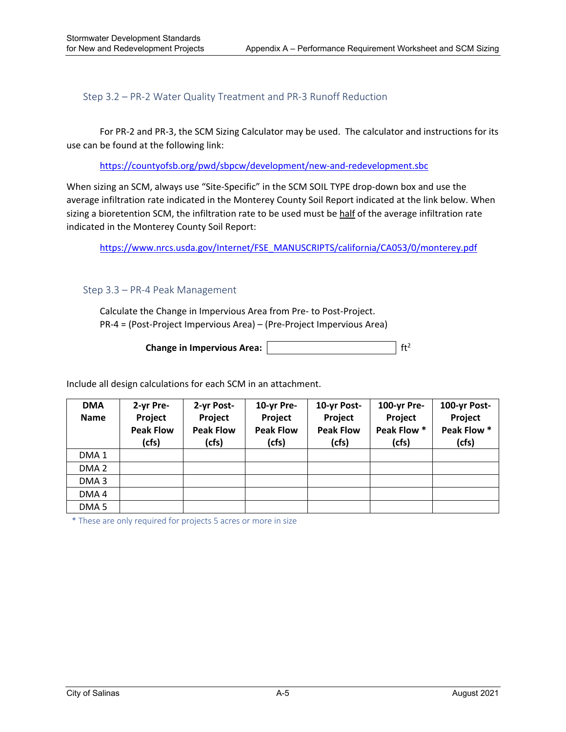Step 3.2 – PR‐2 Water Quality Treatment and PR‐3 Runoff Reduction

 For PR‐2 and PR‐3, the SCM Sizing Calculator may be used. The calculator and instructions for its use can be found at the following link:

https://countyofsb.org/pwd/sbpcw/development/new‐and‐redevelopment.sbc

When sizing an SCM, always use "Site-Specific" in the SCM SOIL TYPE drop-down box and use the average infiltration rate indicated in the Monterey County Soil Report indicated at the link below. When sizing a bioretention SCM, the infiltration rate to be used must be half of the average infiltration rate indicated in the Monterey County Soil Report:

https://www.nrcs.usda.gov/Internet/FSE\_MANUSCRIPTS/california/CA053/0/monterey.pdf

#### Step 3.3 – PR‐4 Peak Management

Calculate the Change in Impervious Area from Pre‐ to Post‐Project. PR‐4 = (Post‐Project Impervious Area) – (Pre‐Project Impervious Area)

**Change in Impervious Area:**  $\left| \int f t^2 \right|$ 

Include all design calculations for each SCM in an attachment.

| <b>DMA</b><br><b>Name</b> | 2-yr Pre-<br>Project<br><b>Peak Flow</b><br>(cfs) | 2-yr Post-<br>Project<br><b>Peak Flow</b><br>(cfs) | 10-yr Pre-<br>Project<br><b>Peak Flow</b><br>(cfs) | 10-yr Post-<br>Project<br><b>Peak Flow</b><br>(cfs) | 100-yr Pre-<br>Project<br>Peak Flow *<br>(cfs) | 100-yr Post-<br>Project<br>Peak Flow *<br>(cfs) |
|---------------------------|---------------------------------------------------|----------------------------------------------------|----------------------------------------------------|-----------------------------------------------------|------------------------------------------------|-------------------------------------------------|
| DMA <sub>1</sub>          |                                                   |                                                    |                                                    |                                                     |                                                |                                                 |
| DMA <sub>2</sub>          |                                                   |                                                    |                                                    |                                                     |                                                |                                                 |
| DMA <sub>3</sub>          |                                                   |                                                    |                                                    |                                                     |                                                |                                                 |
| DMA4                      |                                                   |                                                    |                                                    |                                                     |                                                |                                                 |
| DMA <sub>5</sub>          |                                                   |                                                    |                                                    |                                                     |                                                |                                                 |

\* These are only required for projects 5 acres or more in size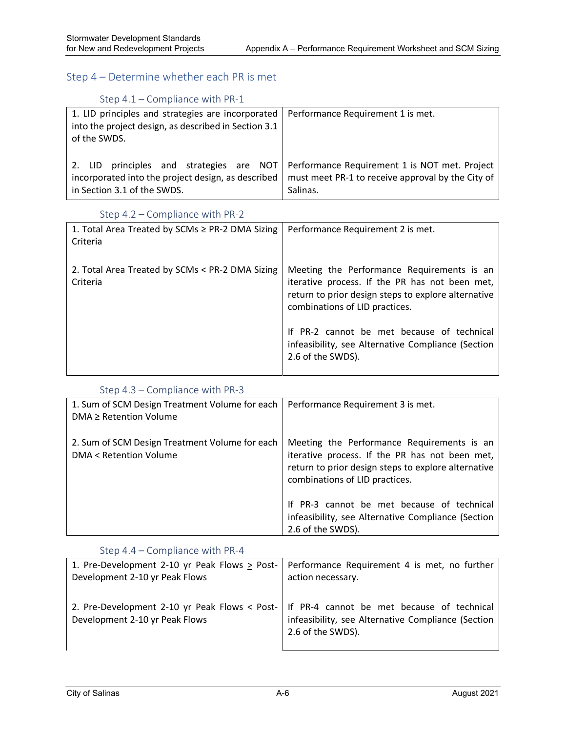#### Step 4 – Determine whether each PR is met

## Step 4.1 – Compliance with PR‐1

| 1. LID principles and strategies are incorporated<br>into the project design, as described in Section 3.1<br>of the SWDS. | Performance Requirement 1 is met.                                                 |
|---------------------------------------------------------------------------------------------------------------------------|-----------------------------------------------------------------------------------|
| 2. LID                                                                                                                    | principles and strategies are NOT   Performance Requirement 1 is NOT met. Project |
| incorporated into the project design, as described                                                                        | must meet PR-1 to receive approval by the City of                                 |
| in Section 3.1 of the SWDS.                                                                                               | Salinas.                                                                          |

#### Step 4.2 – Compliance with PR‐2

| 1. Total Area Treated by SCMs ≥ PR-2 DMA Sizing<br>Criteria | Performance Requirement 2 is met.                                                                                                                                                     |
|-------------------------------------------------------------|---------------------------------------------------------------------------------------------------------------------------------------------------------------------------------------|
| 2. Total Area Treated by SCMs < PR-2 DMA Sizing<br>Criteria | Meeting the Performance Requirements is an<br>iterative process. If the PR has not been met,<br>return to prior design steps to explore alternative<br>combinations of LID practices. |
|                                                             | If PR-2 cannot be met because of technical<br>infeasibility, see Alternative Compliance (Section<br>2.6 of the SWDS).                                                                 |

#### Step 4.3 – Compliance with PR‐3

| 1. Sum of SCM Design Treatment Volume for each<br>$DMA \geq Retention Volume$      | Performance Requirement 3 is met.                                                                                                                                                     |
|------------------------------------------------------------------------------------|---------------------------------------------------------------------------------------------------------------------------------------------------------------------------------------|
| 2. Sum of SCM Design Treatment Volume for each<br><b>DMA &lt; Retention Volume</b> | Meeting the Performance Requirements is an<br>iterative process. If the PR has not been met,<br>return to prior design steps to explore alternative<br>combinations of LID practices. |
|                                                                                    | If PR-3 cannot be met because of technical<br>infeasibility, see Alternative Compliance (Section<br>2.6 of the SWDS).                                                                 |

#### Step 4.4 – Compliance with PR‐4

| 1. Pre-Development 2-10 yr Peak Flows > Post-                                   | Performance Requirement 4 is met, no further                                                                          |
|---------------------------------------------------------------------------------|-----------------------------------------------------------------------------------------------------------------------|
| Development 2-10 yr Peak Flows                                                  | action necessary.                                                                                                     |
| 2. Pre-Development 2-10 yr Peak Flows < Post-<br>Development 2-10 yr Peak Flows | If PR-4 cannot be met because of technical<br>infeasibility, see Alternative Compliance (Section<br>2.6 of the SWDS). |